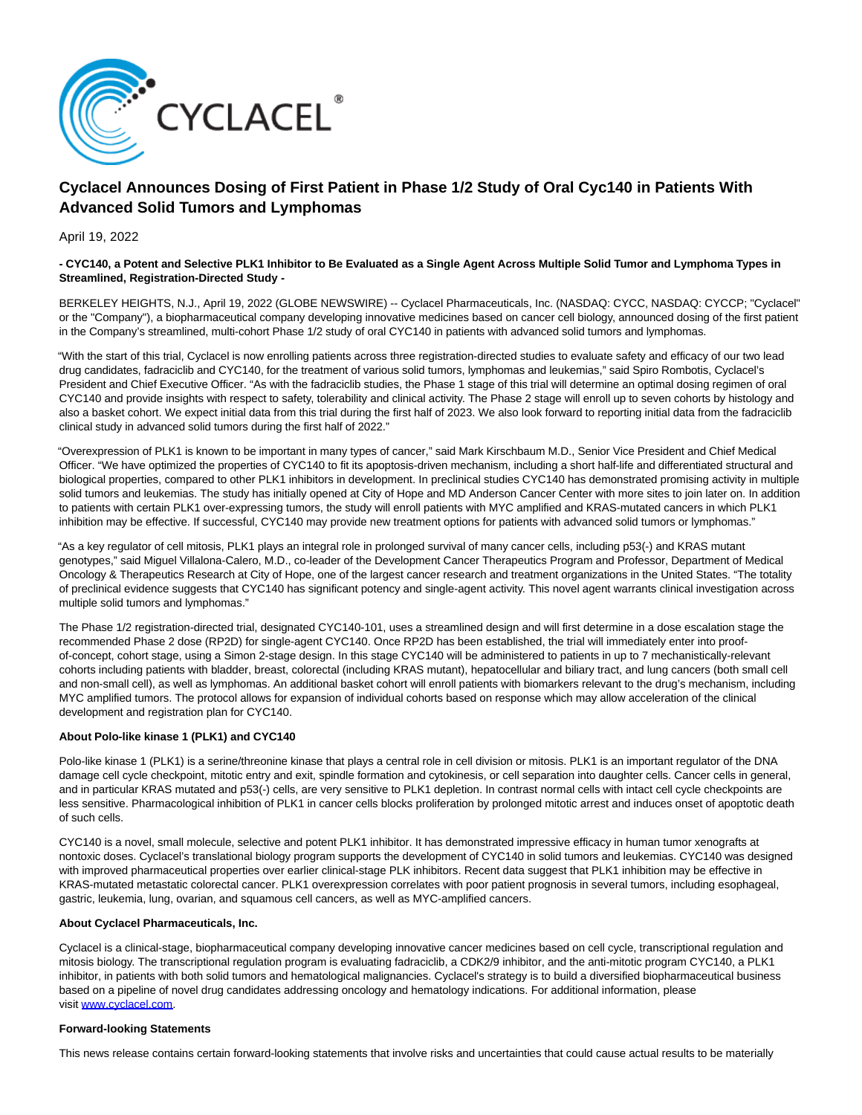

# **Cyclacel Announces Dosing of First Patient in Phase 1/2 Study of Oral Cyc140 in Patients With Advanced Solid Tumors and Lymphomas**

April 19, 2022

### **- CYC140, a Potent and Selective PLK1 Inhibitor to Be Evaluated as a Single Agent Across Multiple Solid Tumor and Lymphoma Types in Streamlined, Registration-Directed Study -**

BERKELEY HEIGHTS, N.J., April 19, 2022 (GLOBE NEWSWIRE) -- Cyclacel Pharmaceuticals, Inc. (NASDAQ: CYCC, NASDAQ: CYCCP; "Cyclacel" or the "Company"), a biopharmaceutical company developing innovative medicines based on cancer cell biology, announced dosing of the first patient in the Company's streamlined, multi-cohort Phase 1/2 study of oral CYC140 in patients with advanced solid tumors and lymphomas.

"With the start of this trial, Cyclacel is now enrolling patients across three registration-directed studies to evaluate safety and efficacy of our two lead drug candidates, fadraciclib and CYC140, for the treatment of various solid tumors, lymphomas and leukemias," said Spiro Rombotis, Cyclacel's President and Chief Executive Officer. "As with the fadraciclib studies, the Phase 1 stage of this trial will determine an optimal dosing regimen of oral CYC140 and provide insights with respect to safety, tolerability and clinical activity. The Phase 2 stage will enroll up to seven cohorts by histology and also a basket cohort. We expect initial data from this trial during the first half of 2023. We also look forward to reporting initial data from the fadraciclib clinical study in advanced solid tumors during the first half of 2022."

"Overexpression of PLK1 is known to be important in many types of cancer," said Mark Kirschbaum M.D., Senior Vice President and Chief Medical Officer. "We have optimized the properties of CYC140 to fit its apoptosis-driven mechanism, including a short half-life and differentiated structural and biological properties, compared to other PLK1 inhibitors in development. In preclinical studies CYC140 has demonstrated promising activity in multiple solid tumors and leukemias. The study has initially opened at City of Hope and MD Anderson Cancer Center with more sites to join later on. In addition to patients with certain PLK1 over-expressing tumors, the study will enroll patients with MYC amplified and KRAS-mutated cancers in which PLK1 inhibition may be effective. If successful, CYC140 may provide new treatment options for patients with advanced solid tumors or lymphomas."

"As a key regulator of cell mitosis, PLK1 plays an integral role in prolonged survival of many cancer cells, including p53(-) and KRAS mutant genotypes," said Miguel Villalona-Calero, M.D., co-leader of the Development Cancer Therapeutics Program and Professor, Department of Medical Oncology & Therapeutics Research at City of Hope, one of the largest cancer research and treatment organizations in the United States. "The totality of preclinical evidence suggests that CYC140 has significant potency and single-agent activity. This novel agent warrants clinical investigation across multiple solid tumors and lymphomas."

The Phase 1/2 registration-directed trial, designated CYC140-101, uses a streamlined design and will first determine in a dose escalation stage the recommended Phase 2 dose (RP2D) for single-agent CYC140. Once RP2D has been established, the trial will immediately enter into proofof-concept, cohort stage, using a Simon 2-stage design. In this stage CYC140 will be administered to patients in up to 7 mechanistically-relevant cohorts including patients with bladder, breast, colorectal (including KRAS mutant), hepatocellular and biliary tract, and lung cancers (both small cell and non-small cell), as well as lymphomas. An additional basket cohort will enroll patients with biomarkers relevant to the drug's mechanism, including MYC amplified tumors. The protocol allows for expansion of individual cohorts based on response which may allow acceleration of the clinical development and registration plan for CYC140.

## **About Polo-like kinase 1 (PLK1) and CYC140**

Polo-like kinase 1 (PLK1) is a serine/threonine kinase that plays a central role in cell division or mitosis. PLK1 is an important regulator of the DNA damage cell cycle checkpoint, mitotic entry and exit, spindle formation and cytokinesis, or cell separation into daughter cells. Cancer cells in general, and in particular KRAS mutated and p53(-) cells, are very sensitive to PLK1 depletion. In contrast normal cells with intact cell cycle checkpoints are less sensitive. Pharmacological inhibition of PLK1 in cancer cells blocks proliferation by prolonged mitotic arrest and induces onset of apoptotic death of such cells.

CYC140 is a novel, small molecule, selective and potent PLK1 inhibitor. It has demonstrated impressive efficacy in human tumor xenografts at nontoxic doses. Cyclacel's translational biology program supports the development of CYC140 in solid tumors and leukemias. CYC140 was designed with improved pharmaceutical properties over earlier clinical-stage PLK inhibitors. Recent data suggest that PLK1 inhibition may be effective in KRAS-mutated metastatic colorectal cancer. PLK1 overexpression correlates with poor patient prognosis in several tumors, including esophageal, gastric, leukemia, lung, ovarian, and squamous cell cancers, as well as MYC-amplified cancers.

### **About Cyclacel Pharmaceuticals, Inc.**

Cyclacel is a clinical-stage, biopharmaceutical company developing innovative cancer medicines based on cell cycle, transcriptional regulation and mitosis biology. The transcriptional regulation program is evaluating fadraciclib, a CDK2/9 inhibitor, and the anti-mitotic program CYC140, a PLK1 inhibitor, in patients with both solid tumors and hematological malignancies. Cyclacel's strategy is to build a diversified biopharmaceutical business based on a pipeline of novel drug candidates addressing oncology and hematology indications. For additional information, please visit [www.cyclacel.com.](https://www.globenewswire.com/Tracker?data=2rp_Xyar4PEcOouHDE5jLluTy_SbUuFnhQtKRrIwvJGjaZxHIAmlC5VQbDHvq_v8sG0pxMm2yZxfuH-rmMheQQ==)

#### **Forward-looking Statements**

This news release contains certain forward-looking statements that involve risks and uncertainties that could cause actual results to be materially